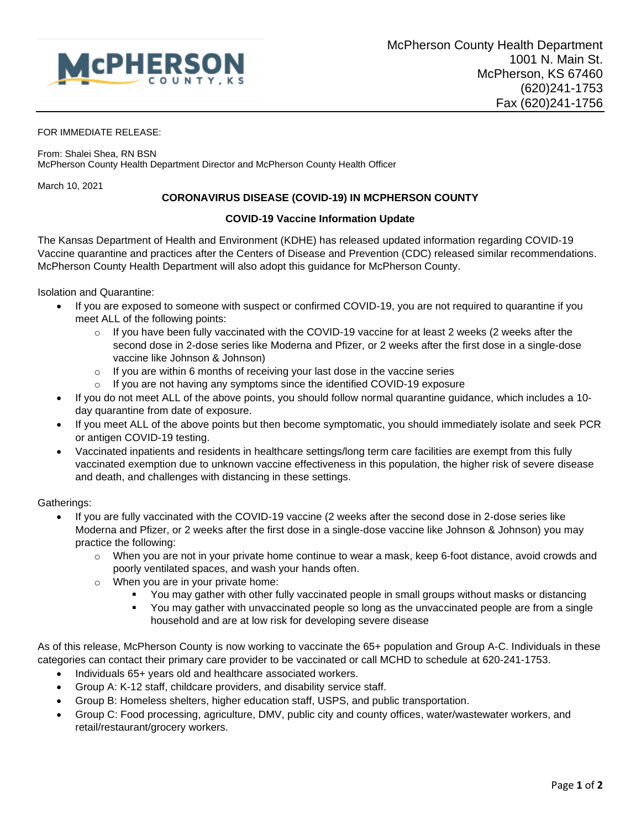

## FOR IMMEDIATE RELEASE:

From: Shalei Shea, RN BSN McPherson County Health Department Director and McPherson County Health Officer

March 10, 2021

## **CORONAVIRUS DISEASE (COVID-19) IN MCPHERSON COUNTY**

## **COVID-19 Vaccine Information Update**

The Kansas Department of Health and Environment (KDHE) has released updated information regarding COVID-19 Vaccine quarantine and practices after the Centers of Disease and Prevention (CDC) released similar recommendations. McPherson County Health Department will also adopt this guidance for McPherson County.

Isolation and Quarantine:

- If you are exposed to someone with suspect or confirmed COVID-19, you are not required to quarantine if you meet ALL of the following points:
	- $\circ$  If you have been fully vaccinated with the COVID-19 vaccine for at least 2 weeks (2 weeks after the second dose in 2-dose series like Moderna and Pfizer, or 2 weeks after the first dose in a single-dose vaccine like Johnson & Johnson)
	- o If you are within 6 months of receiving your last dose in the vaccine series
	- o If you are not having any symptoms since the identified COVID-19 exposure
- If you do not meet ALL of the above points, you should follow normal quarantine guidance, which includes a 10 day quarantine from date of exposure.
- If you meet ALL of the above points but then become symptomatic, you should immediately isolate and seek PCR or antigen COVID-19 testing.
- Vaccinated inpatients and residents in healthcare settings/long term care facilities are exempt from this fully vaccinated exemption due to unknown vaccine effectiveness in this population, the higher risk of severe disease and death, and challenges with distancing in these settings.

Gatherings:

- If you are fully vaccinated with the COVID-19 vaccine (2 weeks after the second dose in 2-dose series like Moderna and Pfizer, or 2 weeks after the first dose in a single-dose vaccine like Johnson & Johnson) you may practice the following:
	- o When you are not in your private home continue to wear a mask, keep 6-foot distance, avoid crowds and poorly ventilated spaces, and wash your hands often.
	- o When you are in your private home:
		- You may gather with other fully vaccinated people in small groups without masks or distancing
		- You may gather with unvaccinated people so long as the unvaccinated people are from a single household and are at low risk for developing severe disease

As of this release, McPherson County is now working to vaccinate the 65+ population and Group A-C. Individuals in these categories can contact their primary care provider to be vaccinated or call MCHD to schedule at 620-241-1753.

- Individuals 65+ years old and healthcare associated workers.
- Group A: K-12 staff, childcare providers, and disability service staff.
- Group B: Homeless shelters, higher education staff, USPS, and public transportation.
- Group C: Food processing, agriculture, DMV, public city and county offices, water/wastewater workers, and retail/restaurant/grocery workers.